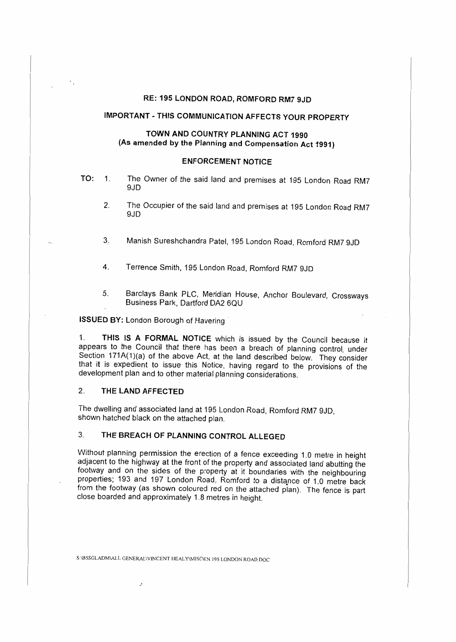## **RE: 195 LONDON ROAD, ROMFORD RM7 9JD**

# **IMPORTANT-THIS COMMUNICATION AFFECTS YOUR PROPERTY**

## **TOWN AND COUNTRY PLANNING ACT 1990 (As amended by the Planning and Compensation Act 1991)**

## **ENFORCEMENT NOTICE**

- **TO: 1.** The Owner of the said land and premises at 195 London Road RM7 9JD
	- 2. The Occupier of the said land and premises at 195 London Road RM7 9JD
	- 3\_. Manish Sureshchandra Patel, 195 London Road, Romford RM7 9JD
	- **4.** Terrence Smith, 195 London Road, Romford RM7 9JD
	- 5. Barclays Bank PLC, Meridian House, Anchor Boulevard, Crossways Business Park, Dartford DA2 6QU

**ISSUED BY: London Borough of Havering** 

1. **THIS IS A FORMAL NOTICE** which is issued by the Council because it appears to the Council that there has been a breach of planning control, under Section 171A(1)(a) of the above Act, at the land described below. They consider that it is expedient to issue this Notice, having regard to the provisions of the development plan and to other material planning considerations.

## **2. THE LAND AFFECTED**

The dwelling and associated land at 195 London Road, Romford RM7 9JD, shown hatched black on the attached plan.

## 3. **THE BREACH OF PLANNING CONTROL ALLEGED**

Without planning permission the erection of a fence exceeding 1.0 metre in height adjacent to the highway at the front of the property and associated land abutting the footway and on the sides of the property at it boundaries with the neighbouring properties; 193 and 197 London Road, Romford to a distance of 1.0 metre back from the footway (as shown coloured red on the attached plan). The fence is part close boarded and approximately 1.8 metres in height.

S :IBSSGLADMW,L GENERAL\VINCENT HEALYIMISCIEN. I*95* LONDON ROAD. DOC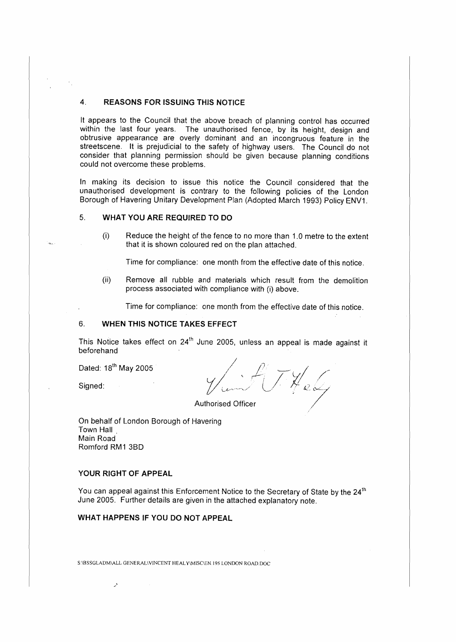## **4. REASONS FOR ISSUING THIS NOTICE**

It appears to the Council that the above breach of planning control has occurred within the last four years. The unauthorised fence, by its height, design and obtrusive appearance are overly dominant and an incongruous feature in the streetscene. It is prejudicial to the safety of highway users. The Council do not consider that planning permission should be given because planning conditions could not overcome these problems.

In making its decision to issue this notice the Council considered that the unauthorised development is contrary to the following policies of the London Borough of Havering Unitary Development Plan (Adopted March 1993) Policy ENV1.

#### 5. **WHAT YOU ARE REQUIRED TO DO**

(i) Reduce the height of the fence to no more than 1.0 metre to the extent that it is shown coloured red on the plan attached.

Time for compliance: one month from the effective date of this notice.

(ii) Remove all rubble and materials which result from the demolition process associated with compliance with (i) above.

Time for compliance: one month from the effective date of this notice.

## 6. **WHEN THIS NOTICE TAKES EFFECT**

This Notice takes effect on 24<sup>th</sup> June 2005, unless an appeal is made against it beforehand

Dated: 18<sup>th</sup> May 2005

Signed:

ETHely

**Authorised Officer** 

On behalf of London Borough of Havering Town Hall Main Road Romford **RM1** 3B0

#### **YOUR RIGHT OF APPEAL**

ور

You can appeal against this Enforcement Notice to the Secretary of State by the 24<sup>th</sup> June 2005. Further details are given in the attached explanatory note.

## **WHAT HAPPENS IF YOU DO NOT APPEAL**

S:IBSSGLADM\ALL GENERAL\VINCENT HEALY\MISC\EN.195 LONDON ROAD.DOC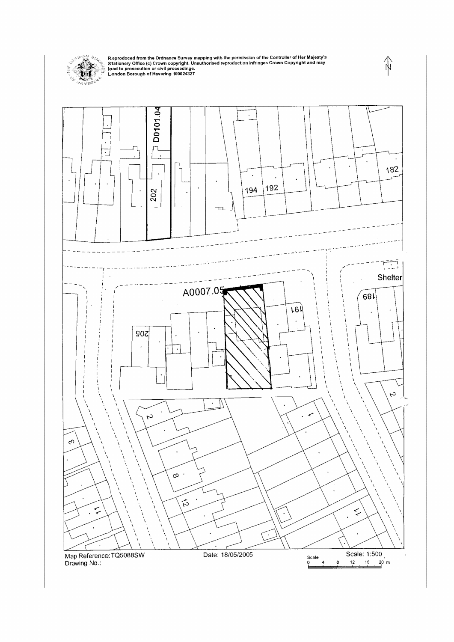

Reproduced from the Ordnance Survey mapping with the permission of the Controller of Her Majesty's<br>Stationery Office (c) Crown copyright. Unauthorised reproduction infringes Crown Copyright and may<br>lead to prosecution or c



 $\Rightarrow$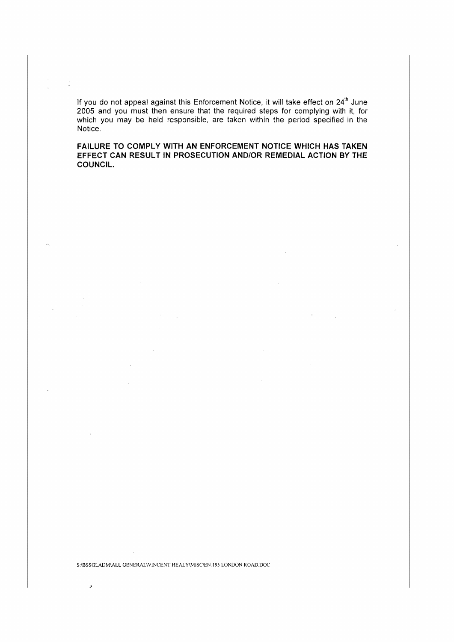If you do not appeal against this Enforcement Notice, it will take effect on 24<sup>th</sup> June 2005 and you must then ensure that the required steps for complying with it, for which you may be held responsible, are taken within the period specified in the Notice.

 $\frac{1}{2}$ 

**FAILURE TO COMPLY WITH AN ENFORCEMENT NOTICE WHICH HAS TAKEN EFFECT CAN RESULT IN PROSECUTION AND/OR REMEDIAL ACTION BY THE COUNCIL.** 

S:\BSSGLADM\ALL GENERAL\VINCENT HEALY\MISC\EN.195 LONDON ROAD.DOC

 $\lambda$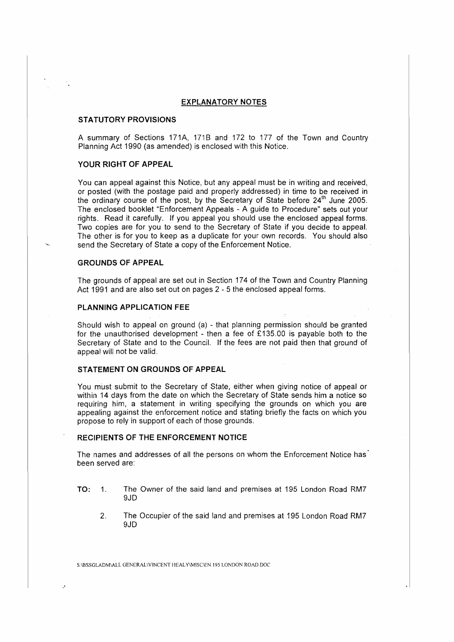#### **EXPLANATORY NOTES**

#### **STATUTORY PROVISIONS**

A summary of Sections 171A, 171B and 172 to 177 of the Town and Country Planning Act 1990 (as amended) is enclosed with this Notice.

## **YOUR RIGHT OF APPEAL**

You can appeal against this Notice, but any appeal must be in writing and received, or posted (with the postage paid and properly addressed) in time to be received in the ordinary course of the post, by the Secretary of State before 24<sup>th</sup> June 2005. The enclosed booklet "Enforcement Appeals - A guide to Procedure" sets out your rights. Read it carefully. If you appeal you should use the enclosed appeal forms. Two copies are for you to send to the Secretary of State if you decide to appeal. The other is for you to keep as a duplicate for your own records. You should also send the Secretary of State a copy of the Enforcement Notice.

#### **GROUNDS OF APPEAL**

The grounds of appeal are set out in Section 174 of the Town and Country Planning Act 1991 and are also set out on pages 2 - 5 the enclosed appeal forms.

#### **PLANNING APPLICATION FEE**

Should wish to appeal on ground (a) - that planning permission should be granted for the unauthorised development - then a fee of £135.00 is payable both to the Secretary of State and to the Council. If the fees are not paid then that ground of appeal will not be valid.

#### **STATEMENT ON GROUNDS OF APPEAL**

You must submit to the Secretary of State, either when giving notice of appeal or within 14 days from the date on which the Secretary of State sends him a notice so requiring him, a statement in writing specifying the grounds on which you are appealing against the enforcement notice and stating briefly the facts on which you propose to rely in support of each of those grounds.

#### **RECIPIENTS OF THE ENFORCEMENT NOTICE**

The names and addresses of all the persons on whom the Enforcement Notice has been served are:

- **TO: 1.** The Owner of the said land and premises at 195 London Road RM7 9JD
	- 2. The Occupier of the said land and premises at 195 London Road RM7 9JD

S:\BSSGLADM\ALL GENERAL\VINCENT HEALY\MISC\EN.195 LONDON ROAD.DOC